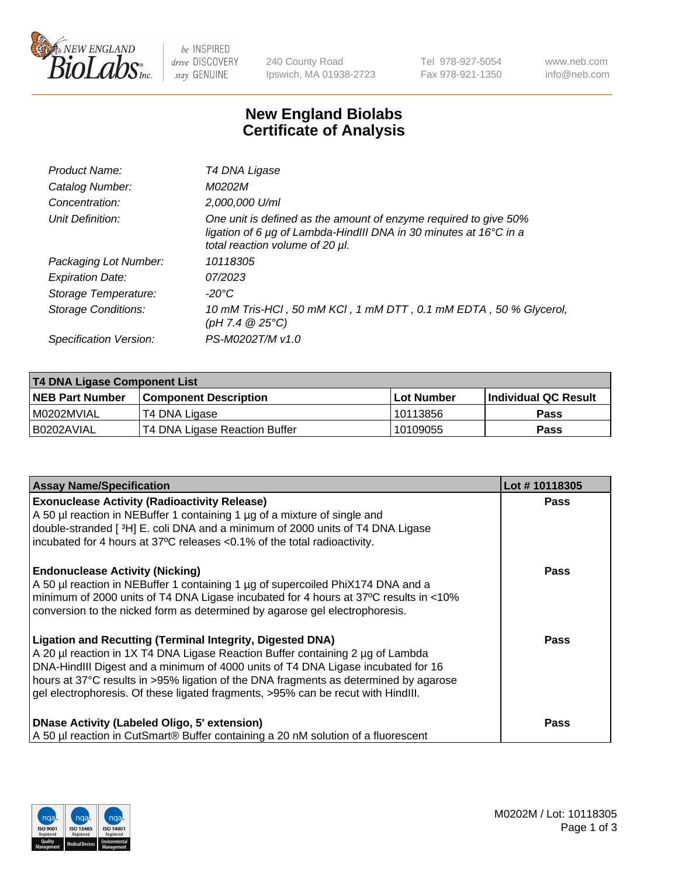

 $be$  INSPIRED drive DISCOVERY stay GENUINE

240 County Road Ipswich, MA 01938-2723 Tel 978-927-5054 Fax 978-921-1350 www.neb.com info@neb.com

## **New England Biolabs Certificate of Analysis**

| Product Name:              | T4 DNA Ligase                                                                                                                                                            |
|----------------------------|--------------------------------------------------------------------------------------------------------------------------------------------------------------------------|
| Catalog Number:            | M0202M                                                                                                                                                                   |
| Concentration:             | 2,000,000 U/ml                                                                                                                                                           |
| Unit Definition:           | One unit is defined as the amount of enzyme required to give 50%<br>ligation of 6 µg of Lambda-HindIII DNA in 30 minutes at 16°C in a<br>total reaction volume of 20 µl. |
| Packaging Lot Number:      | 10118305                                                                                                                                                                 |
| <b>Expiration Date:</b>    | 07/2023                                                                                                                                                                  |
| Storage Temperature:       | -20°C                                                                                                                                                                    |
| <b>Storage Conditions:</b> | 10 mM Tris-HCl, 50 mM KCl, 1 mM DTT, 0.1 mM EDTA, 50 % Glycerol,<br>(pH 7.4 $@25°C$ )                                                                                    |
| Specification Version:     | PS-M0202T/M v1.0                                                                                                                                                         |
|                            |                                                                                                                                                                          |

| T4 DNA Ligase Component List |                               |              |                             |  |
|------------------------------|-------------------------------|--------------|-----------------------------|--|
| <b>NEB Part Number</b>       | l Component Description       | l Lot Number | <b>Individual QC Result</b> |  |
| I M0202MVIAL                 | T4 DNA Ligase                 | 10113856     | <b>Pass</b>                 |  |
| I B0202AVIAL                 | T4 DNA Ligase Reaction Buffer | 10109055     | <b>Pass</b>                 |  |

| <b>Assay Name/Specification</b>                                                                                                                                                                                                                                                                                                                                                                             | Lot #10118305 |
|-------------------------------------------------------------------------------------------------------------------------------------------------------------------------------------------------------------------------------------------------------------------------------------------------------------------------------------------------------------------------------------------------------------|---------------|
| <b>Exonuclease Activity (Radioactivity Release)</b><br>A 50 µl reaction in NEBuffer 1 containing 1 µg of a mixture of single and<br>double-stranded [3H] E. coli DNA and a minimum of 2000 units of T4 DNA Ligase                                                                                                                                                                                           | <b>Pass</b>   |
| incubated for 4 hours at 37°C releases <0.1% of the total radioactivity.                                                                                                                                                                                                                                                                                                                                    |               |
| <b>Endonuclease Activity (Nicking)</b><br>A 50 µl reaction in NEBuffer 1 containing 1 µg of supercoiled PhiX174 DNA and a<br>minimum of 2000 units of T4 DNA Ligase incubated for 4 hours at 37°C results in <10%<br>conversion to the nicked form as determined by agarose gel electrophoresis.                                                                                                            | <b>Pass</b>   |
| Ligation and Recutting (Terminal Integrity, Digested DNA)<br>A 20 µl reaction in 1X T4 DNA Ligase Reaction Buffer containing 2 µg of Lambda<br>DNA-HindIII Digest and a minimum of 4000 units of T4 DNA Ligase incubated for 16<br>hours at 37°C results in >95% ligation of the DNA fragments as determined by agarose<br>gel electrophoresis. Of these ligated fragments, >95% can be recut with HindIII. | Pass          |
| DNase Activity (Labeled Oligo, 5' extension)<br>A 50 µl reaction in CutSmart® Buffer containing a 20 nM solution of a fluorescent                                                                                                                                                                                                                                                                           | Pass          |

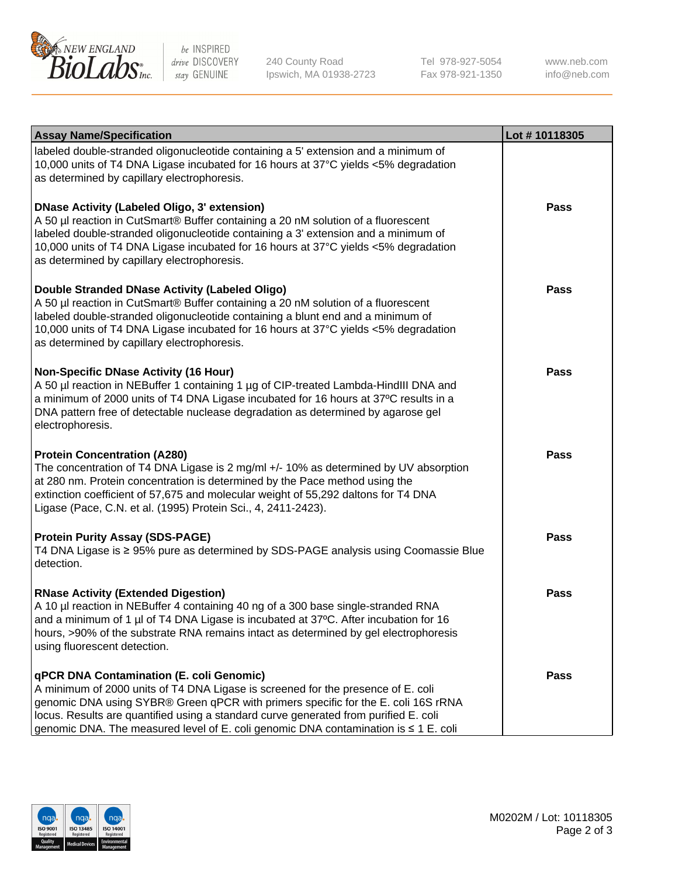

be INSPIRED drive DISCOVERY stay GENUINE

240 County Road Ipswich, MA 01938-2723 Tel 978-927-5054 Fax 978-921-1350 www.neb.com info@neb.com

| <b>Assay Name/Specification</b>                                                                                                                                                                                                                                                                                                                                                                  | Lot #10118305 |
|--------------------------------------------------------------------------------------------------------------------------------------------------------------------------------------------------------------------------------------------------------------------------------------------------------------------------------------------------------------------------------------------------|---------------|
| labeled double-stranded oligonucleotide containing a 5' extension and a minimum of<br>10,000 units of T4 DNA Ligase incubated for 16 hours at 37°C yields <5% degradation<br>as determined by capillary electrophoresis.                                                                                                                                                                         |               |
| <b>DNase Activity (Labeled Oligo, 3' extension)</b><br>A 50 µl reaction in CutSmart® Buffer containing a 20 nM solution of a fluorescent<br>labeled double-stranded oligonucleotide containing a 3' extension and a minimum of<br>10,000 units of T4 DNA Ligase incubated for 16 hours at 37°C yields <5% degradation<br>as determined by capillary electrophoresis.                             | <b>Pass</b>   |
| Double Stranded DNase Activity (Labeled Oligo)<br>A 50 µl reaction in CutSmart® Buffer containing a 20 nM solution of a fluorescent<br>labeled double-stranded oligonucleotide containing a blunt end and a minimum of<br>10,000 units of T4 DNA Ligase incubated for 16 hours at 37°C yields <5% degradation<br>as determined by capillary electrophoresis.                                     | <b>Pass</b>   |
| <b>Non-Specific DNase Activity (16 Hour)</b><br>A 50 µl reaction in NEBuffer 1 containing 1 µg of CIP-treated Lambda-HindIII DNA and<br>a minimum of 2000 units of T4 DNA Ligase incubated for 16 hours at 37°C results in a<br>DNA pattern free of detectable nuclease degradation as determined by agarose gel<br>electrophoresis.                                                             | <b>Pass</b>   |
| <b>Protein Concentration (A280)</b><br>The concentration of T4 DNA Ligase is 2 mg/ml +/- 10% as determined by UV absorption<br>at 280 nm. Protein concentration is determined by the Pace method using the<br>extinction coefficient of 57,675 and molecular weight of 55,292 daltons for T4 DNA<br>Ligase (Pace, C.N. et al. (1995) Protein Sci., 4, 2411-2423).                                | <b>Pass</b>   |
| <b>Protein Purity Assay (SDS-PAGE)</b><br>T4 DNA Ligase is ≥ 95% pure as determined by SDS-PAGE analysis using Coomassie Blue<br>detection.                                                                                                                                                                                                                                                      | <b>Pass</b>   |
| <b>RNase Activity (Extended Digestion)</b><br>A 10 µl reaction in NEBuffer 4 containing 40 ng of a 300 base single-stranded RNA<br>and a minimum of 1 µl of T4 DNA Ligase is incubated at 37°C. After incubation for 16<br>hours, >90% of the substrate RNA remains intact as determined by gel electrophoresis<br>using fluorescent detection.                                                  | Pass          |
| qPCR DNA Contamination (E. coli Genomic)<br>A minimum of 2000 units of T4 DNA Ligase is screened for the presence of E. coli<br>genomic DNA using SYBR® Green qPCR with primers specific for the E. coli 16S rRNA<br>locus. Results are quantified using a standard curve generated from purified E. coli<br>genomic DNA. The measured level of E. coli genomic DNA contamination is ≤ 1 E. coli | <b>Pass</b>   |